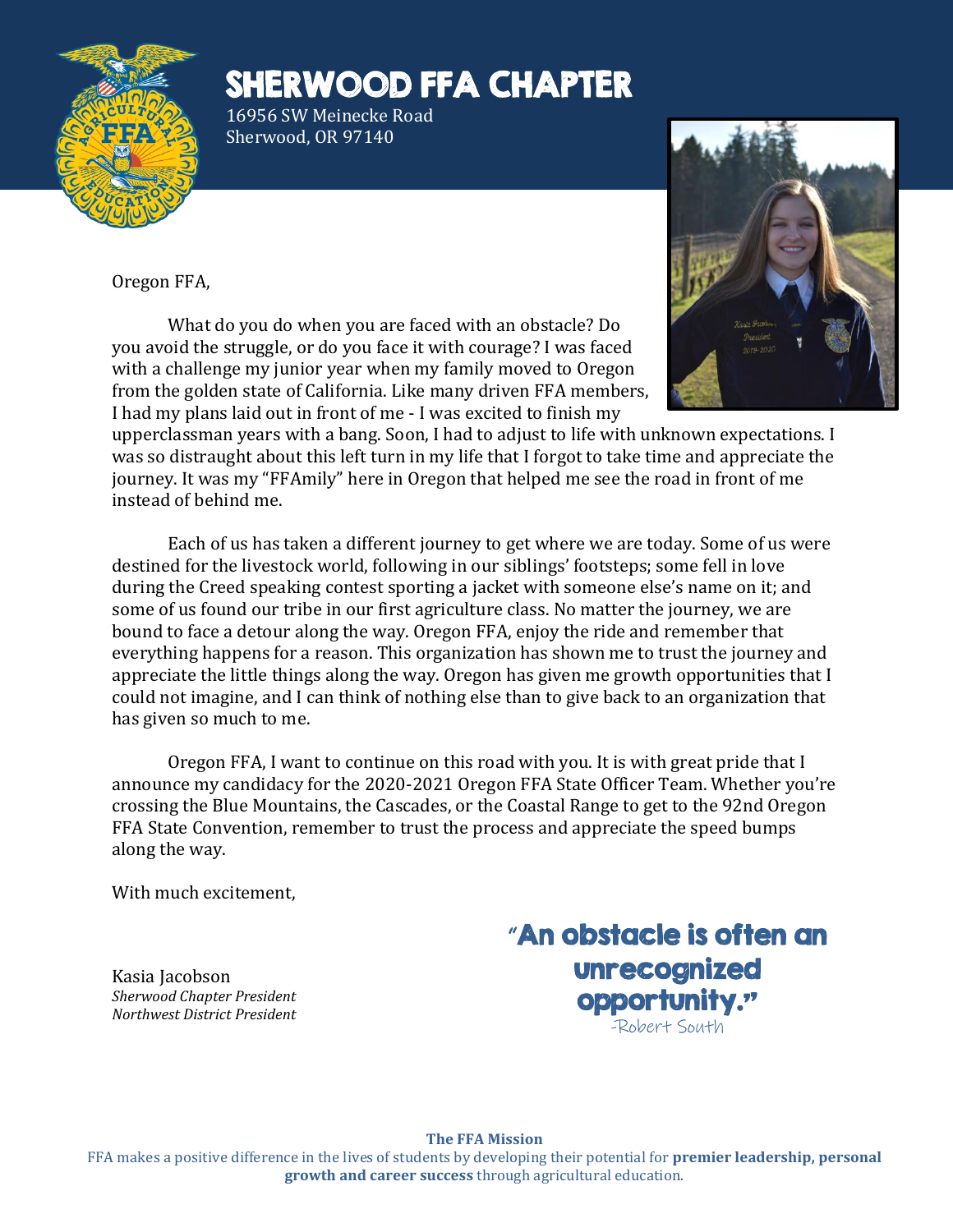

# SHERWOOD FFA CHAPTER

16956 SW Meinecke Road Sherwood, OR 97140

Oregon FFA,

What do you do when you are faced with an obstacle? Do you avoid the struggle, or do you face it with courage? I was faced with a challenge my junior year when my family moved to Oregon from the golden state of California. Like many driven FFA members, I had my plans laid out in front of me - I was excited to finish my



upperclassman years with a bang. Soon, I had to adjust to life with unknown expectations. I was so distraught about this left turn in my life that I forgot to take time and appreciate the journey. It was my "FFAmily" here in Oregon that helped me see the road in front of me instead of behind me.

Each of us has taken a different journey to get where we are today. Some of us were destined for the livestock world, following in our siblings' footsteps; some fell in love during the Creed speaking contest sporting a jacket with someone else's name on it; and some of us found our tribe in our first agriculture class. No matter the journey, we are bound to face a detour along the way. Oregon FFA, enjoy the ride and remember that everything happens for a reason. This organization has shown me to trust the journey and appreciate the little things along the way. Oregon has given me growth opportunities that I could not imagine, and I can think of nothing else than to give back to an organization that has given so much to me.

Oregon FFA, I want to continue on this road with you. It is with great pride that I announce my candidacy for the 2020-2021 Oregon FFA State Officer Team. Whether you're crossing the Blue Mountains, the Cascades, or the Coastal Range to get to the 92nd Oregon FFA State Convention, remember to trust the process and appreciate the speed bumps along the way.

With much excitement,

Kasia Jacobson *Sherwood Chapter President Northwest District President* "An obstacle is often an unrecognized opportunity." -Robert South

**The FFA Mission**

FFA makes a positive difference in the lives of students by developing their potential for **premier leadership, personal growth and career success** through agricultural education.